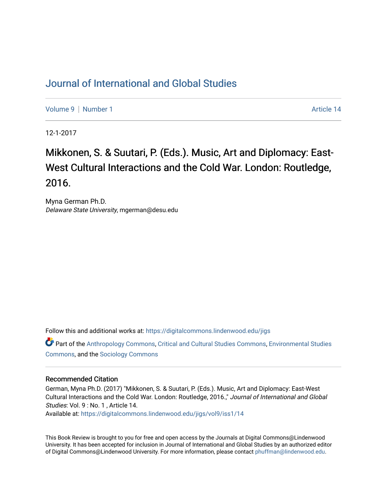## [Journal of International and Global Studies](https://digitalcommons.lindenwood.edu/jigs)

[Volume 9](https://digitalcommons.lindenwood.edu/jigs/vol9) | [Number 1](https://digitalcommons.lindenwood.edu/jigs/vol9/iss1) Article 14

12-1-2017

## Mikkonen, S. & Suutari, P. (Eds.). Music, Art and Diplomacy: East-West Cultural Interactions and the Cold War. London: Routledge, 2016.

Myna German Ph.D. Delaware State University, mgerman@desu.edu

Follow this and additional works at: [https://digitalcommons.lindenwood.edu/jigs](https://digitalcommons.lindenwood.edu/jigs?utm_source=digitalcommons.lindenwood.edu%2Fjigs%2Fvol9%2Fiss1%2F14&utm_medium=PDF&utm_campaign=PDFCoverPages) 

Part of the [Anthropology Commons](http://network.bepress.com/hgg/discipline/318?utm_source=digitalcommons.lindenwood.edu%2Fjigs%2Fvol9%2Fiss1%2F14&utm_medium=PDF&utm_campaign=PDFCoverPages), [Critical and Cultural Studies Commons](http://network.bepress.com/hgg/discipline/328?utm_source=digitalcommons.lindenwood.edu%2Fjigs%2Fvol9%2Fiss1%2F14&utm_medium=PDF&utm_campaign=PDFCoverPages), [Environmental Studies](http://network.bepress.com/hgg/discipline/1333?utm_source=digitalcommons.lindenwood.edu%2Fjigs%2Fvol9%2Fiss1%2F14&utm_medium=PDF&utm_campaign=PDFCoverPages)  [Commons](http://network.bepress.com/hgg/discipline/1333?utm_source=digitalcommons.lindenwood.edu%2Fjigs%2Fvol9%2Fiss1%2F14&utm_medium=PDF&utm_campaign=PDFCoverPages), and the [Sociology Commons](http://network.bepress.com/hgg/discipline/416?utm_source=digitalcommons.lindenwood.edu%2Fjigs%2Fvol9%2Fiss1%2F14&utm_medium=PDF&utm_campaign=PDFCoverPages)

## Recommended Citation

German, Myna Ph.D. (2017) "Mikkonen, S. & Suutari, P. (Eds.). Music, Art and Diplomacy: East-West Cultural Interactions and the Cold War. London: Routledge, 2016.," Journal of International and Global Studies: Vol. 9 : No. 1 , Article 14.

Available at: [https://digitalcommons.lindenwood.edu/jigs/vol9/iss1/14](https://digitalcommons.lindenwood.edu/jigs/vol9/iss1/14?utm_source=digitalcommons.lindenwood.edu%2Fjigs%2Fvol9%2Fiss1%2F14&utm_medium=PDF&utm_campaign=PDFCoverPages) 

This Book Review is brought to you for free and open access by the Journals at Digital Commons@Lindenwood University. It has been accepted for inclusion in Journal of International and Global Studies by an authorized editor of Digital Commons@Lindenwood University. For more information, please contact [phuffman@lindenwood.edu](mailto:phuffman@lindenwood.edu).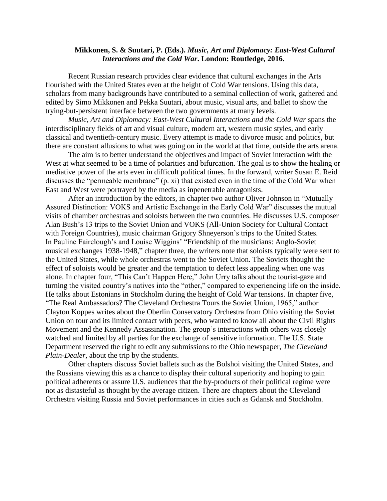## **Mikkonen, S. & Suutari, P. (Eds.).** *Music, Art and Diplomacy: East-West Cultural Interactions and the Cold War***. London: Routledge, 2016.**

Recent Russian research provides clear evidence that cultural exchanges in the Arts flourished with the United States even at the height of Cold War tensions. Using this data, scholars from many backgrounds have contributed to a seminal collection of work, gathered and edited by Simo Mikkonen and Pekka Suutari, about music, visual arts, and ballet to show the trying-but-persistent interface between the two governments at many levels.

*Music, Art and Diplomacy: East-West Cultural Interactions and the Cold War* spans the interdisciplinary fields of art and [visual culture,](https://www.routledge.com/products/SCAR05) modern art, western music styles, and early classical and twentieth-century music. Every attempt is made to divorce music and politics, but there are constant allusions to what was going on in the world at that time, outside the arts arena.

The aim is to better understand the objectives and impact of Soviet interaction with the West at what seemed to be a time of polarities and bifurcation. The goal is to show the healing or mediative power of the arts even in difficult political times. In the forward, writer Susan E. Reid discusses the "permeable membrane" (p. xi) that existed even in the time of the Cold War when East and West were portrayed by the media as inpenetrable antagonists.

After an introduction by the editors, in chapter two author Oliver Johnson in "Mutually Assured Distinction: VOKS and Artistic Exchange in the Early Cold War" discusses the mutual visits of chamber orchestras and soloists between the two countries. He discusses U.S. composer Alan Bush's 13 trips to the Soviet Union and VOKS (All-Union Society for Cultural Contact with Foreign Countries), music chairman Grigory Shneyerson's trips to the United States. In Pauline Fairclough's and Louise Wiggins' "Friendship of the musicians: Anglo-Soviet musical exchanges 1938-1948," chapter three, the writers note that soloists typically were sent to the United States, while whole orchestras went to the Soviet Union. The Soviets thought the effect of soloists would be greater and the temptation to defect less appealing when one was alone. In chapter four, "This Can't Happen Here," John Urry talks about the tourist-gaze and turning the visited country's natives into the "other," compared to experiencing life on the inside. He talks about Estonians in Stockholm during the height of Cold War tensions. In chapter five, "The Real Ambassadors? The Cleveland Orchestra Tours the Soviet Union, 1965," author Clayton Koppes writes about the Oberlin Conservatory Orchestra from Ohio visiting the Soviet Union on tour and its limited contact with peers, who wanted to know all about the Civil Rights Movement and the Kennedy Assassination. The group's interactions with others was closely watched and limited by all parties for the exchange of sensitive information. The U.S. State Department reserved the right to edit any submissions to the Ohio newspaper, *The Cleveland Plain-Dealer,* about the trip by the students.

Other chapters discuss Soviet ballets such as the Bolshoi visiting the United States, and the Russians viewing this as a chance to display their cultural superiority and hoping to gain political adherents or assure U.S. audiences that the by-products of their political regime were not as distasteful as thought by the average citizen. There are chapters about the Cleveland Orchestra visiting Russia and Soviet performances in cities such as Gdansk and Stockholm.